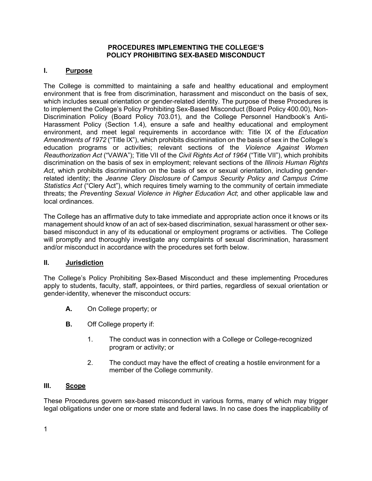#### **PROCEDURES IMPLEMENTING THE COLLEGE'S POLICY PROHIBITING SEX-BASED MISCONDUCT**

#### **I. Purpose**

The College is committed to maintaining a safe and healthy educational and employment environment that is free from discrimination, harassment and misconduct on the basis of sex, which includes sexual orientation or gender-related identity. The purpose of these Procedures is to implement the College's Policy Prohibiting Sex-Based Misconduct (Board Policy 400.00), Non-Discrimination Policy (Board Policy 703.01), and the College Personnel Handbook's Anti-Harassment Policy (Section 1.4), ensure a safe and healthy educational and employment environment, and meet legal requirements in accordance with: Title IX of the *Education Amendments of 1972* ("Title IX"), which prohibits discrimination on the basis of sex in the College's education programs or activities; relevant sections of the *Violence Against Women Reauthorization Act* ("VAWA"); Title VII of the *Civil Rights Act of 1964* ("Title VII"), which prohibits discrimination on the basis of sex in employment; relevant sections of the *Illinois Human Rights Act*, which prohibits discrimination on the basis of sex or sexual orientation, including genderrelated identity; the *Jeanne Clery Disclosure of Campus Security Policy and Campus Crime Statistics Act* ("Clery Act"), which requires timely warning to the community of certain immediate threats; the *Preventing Sexual Violence in Higher Education Act*; and other applicable law and local ordinances.

The College has an affirmative duty to take immediate and appropriate action once it knows or its management should know of an act of sex-based discrimination, sexual harassment or other sexbased misconduct in any of its educational or employment programs or activities. The College will promptly and thoroughly investigate any complaints of sexual discrimination, harassment and/or misconduct in accordance with the procedures set forth below.

#### **II. Jurisdiction**

The College's Policy Prohibiting Sex-Based Misconduct and these implementing Procedures apply to students, faculty, staff, appointees, or third parties, regardless of sexual orientation or gender-identity, whenever the misconduct occurs:

- **A.** On College property; or
- **B.** Off College property if:
	- 1. The conduct was in connection with a College or College-recognized program or activity; or
	- 2. The conduct may have the effect of creating a hostile environment for a member of the College community.

#### **III. Scope**

These Procedures govern sex-based misconduct in various forms, many of which may trigger legal obligations under one or more state and federal laws. In no case does the inapplicability of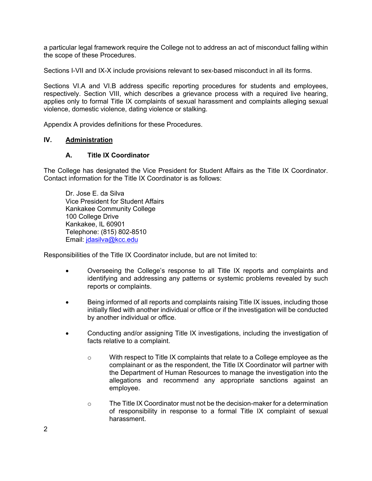a particular legal framework require the College not to address an act of misconduct falling within the scope of these Procedures.

Sections I-VII and IX-X include provisions relevant to sex-based misconduct in all its forms.

Sections VI.A and VI.B address specific reporting procedures for students and employees, respectively. Section VIII, which describes a grievance process with a required live hearing, applies only to formal Title IX complaints of sexual harassment and complaints alleging sexual violence, domestic violence, dating violence or stalking.

Appendix A provides definitions for these Procedures.

#### **IV. Administration**

#### **A. Title IX Coordinator**

The College has designated the Vice President for Student Affairs as the Title IX Coordinator. Contact information for the Title IX Coordinator is as follows:

Dr. Jose E. da Silva Vice President for Student Affairs Kankakee Community College 100 College Drive Kankakee, IL 60901 Telephone: (815) 802-8510 Email: jdasilva@kcc.edu

Responsibilities of the Title IX Coordinator include, but are not limited to:

- Overseeing the College's response to all Title IX reports and complaints and identifying and addressing any patterns or systemic problems revealed by such reports or complaints.
- Being informed of all reports and complaints raising Title IX issues, including those initially filed with another individual or office or if the investigation will be conducted by another individual or office.
- Conducting and/or assigning Title IX investigations, including the investigation of facts relative to a complaint.
	- $\circ$  With respect to Title IX complaints that relate to a College employee as the complainant or as the respondent, the Title IX Coordinator will partner with the Department of Human Resources to manage the investigation into the allegations and recommend any appropriate sanctions against an employee.
	- o The Title IX Coordinator must not be the decision-maker for a determination of responsibility in response to a formal Title IX complaint of sexual harassment.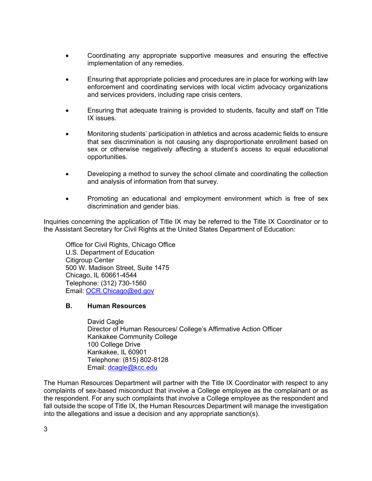- Coordinating any appropriate supportive measures and ensuring the effective implementation of any remedies.
- Ensuring that appropriate policies and procedures are in place for working with law enforcement and coordinating services with local victim advocacy organizations and services providers, including rape crisis centers.
- Ensuring that adequate training is provided to students, faculty and staff on Title IX issues.
- Monitoring students' participation in athletics and across academic fields to ensure that sex discrimination is not causing any disproportionate enrollment based on sex or otherwise negatively affecting a student's access to equal educational opportunities.
- Developing a method to survey the school climate and coordinating the collection and analysis of information from that survey.
- Promoting an educational and employment environment which is free of sex discrimination and gender bias.

Inquiries concerning the application of Title IX may be referred to the Title IX Coordinator or to the Assistant Secretary for Civil Rights at the United States Department of Education:

Office for Civil Rights, Chicago Office U.S. Department of Education Citigroup Center 500 W. Madison Street, Suite 1475 Chicago, IL 60661-4544 Telephone: (312) 730-1560 Email: OCR.Chicago@ed.gov

#### **B. Human Resources**

David Cagle Director of Human Resources/ College's Affirmative Action Officer Kankakee Community College 100 College Drive Kankakee, IL 60901 Telephone: (815) 802-8128 Email: dcagle@kcc.edu

The Human Resources Department will partner with the Title IX Coordinator with respect to any complaints of sex-based misconduct that involve a College employee as the complainant or as the respondent. For any such complaints that involve a College employee as the respondent and fall outside the scope of Title IX, the Human Resources Department will manage the investigation into the allegations and issue a decision and any appropriate sanction(s).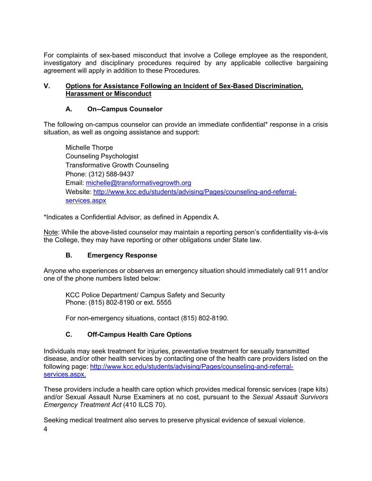For complaints of sex-based misconduct that involve a College employee as the respondent, investigatory and disciplinary procedures required by any applicable collective bargaining agreement will apply in addition to these Procedures.

#### **V. Options for Assistance Following an Incident of Sex-Based Discrimination, Harassment or Misconduct**

### **A. On--Campus Counselor**

The following on-campus counselor can provide an immediate confidential\* response in a crisis situation, as well as ongoing assistance and support:

Michelle Thorpe Counseling Psychologist Transformative Growth Counseling Phone: (312) 588-9437 Email: michelle@transformativegrowth.org Website: http://www.kcc.edu/students/advising/Pages/counseling-and-referralservices.aspx

\*Indicates a Confidential Advisor, as defined in Appendix A.

Note: While the above-listed counselor may maintain a reporting person's confidentiality vis-à-vis the College, they may have reporting or other obligations under State law.

### **B. Emergency Response**

Anyone who experiences or observes an emergency situation should immediately call 911 and/or one of the phone numbers listed below:

KCC Police Department/ Campus Safety and Security Phone: (815) 802-8190 or ext. 5555

For non-emergency situations, contact (815) 802-8190.

### **C. Off-Campus Health Care Options**

Individuals may seek treatment for injuries, preventative treatment for sexually transmitted disease, and/or other health services by contacting one of the health care providers listed on the following page: http://www.kcc.edu/students/advising/Pages/counseling-and-referralservices.aspx.

These providers include a health care option which provides medical forensic services (rape kits) and/or Sexual Assault Nurse Examiners at no cost, pursuant to the *Sexual Assault Survivors Emergency Treatment Act* (410 ILCS 70).

4 Seeking medical treatment also serves to preserve physical evidence of sexual violence.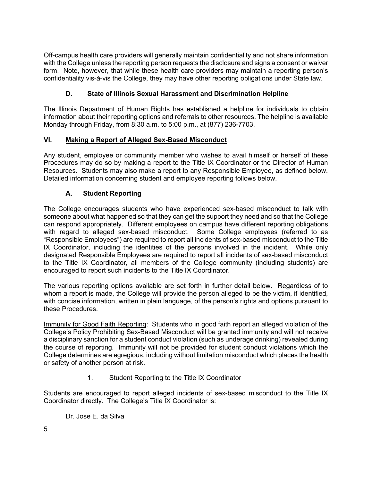Off-campus health care providers will generally maintain confidentiality and not share information with the College unless the reporting person requests the disclosure and signs a consent or waiver form. Note, however, that while these health care providers may maintain a reporting person's confidentiality vis-à-vis the College, they may have other reporting obligations under State law.

## **D. State of Illinois Sexual Harassment and Discrimination Helpline**

The Illinois Department of Human Rights has established a helpline for individuals to obtain information about their reporting options and referrals to other resources. The helpline is available Monday through Friday, from 8:30 a.m. to 5:00 p.m., at (877) 236-7703.

### **VI. Making a Report of Alleged Sex-Based Misconduct**

Any student, employee or community member who wishes to avail himself or herself of these Procedures may do so by making a report to the Title IX Coordinator or the Director of Human Resources. Students may also make a report to any Responsible Employee, as defined below. Detailed information concerning student and employee reporting follows below.

### **A. Student Reporting**

The College encourages students who have experienced sex-based misconduct to talk with someone about what happened so that they can get the support they need and so that the College can respond appropriately. Different employees on campus have different reporting obligations with regard to alleged sex-based misconduct. Some College employees (referred to as "Responsible Employees") are required to report all incidents of sex-based misconduct to the Title IX Coordinator, including the identities of the persons involved in the incident. While only designated Responsible Employees are required to report all incidents of sex-based misconduct to the Title IX Coordinator, all members of the College community (including students) are encouraged to report such incidents to the Title IX Coordinator.

The various reporting options available are set forth in further detail below. Regardless of to whom a report is made, the College will provide the person alleged to be the victim, if identified, with concise information, written in plain language, of the person's rights and options pursuant to these Procedures.

Immunity for Good Faith Reporting: Students who in good faith report an alleged violation of the College's Policy Prohibiting Sex-Based Misconduct will be granted immunity and will not receive a disciplinary sanction for a student conduct violation (such as underage drinking) revealed during the course of reporting. Immunity will not be provided for student conduct violations which the College determines are egregious, including without limitation misconduct which places the health or safety of another person at risk.

1. Student Reporting to the Title IX Coordinator

Students are encouraged to report alleged incidents of sex-based misconduct to the Title IX Coordinator directly. The College's Title IX Coordinator is:

Dr. Jose E. da Silva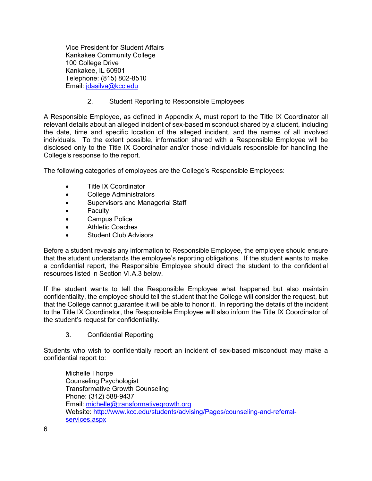Vice President for Student Affairs Kankakee Community College 100 College Drive Kankakee, IL 60901 Telephone: (815) 802-8510 Email: jdasilva@kcc.edu

2. Student Reporting to Responsible Employees

A Responsible Employee, as defined in Appendix A, must report to the Title IX Coordinator all relevant details about an alleged incident of sex-based misconduct shared by a student, including the date, time and specific location of the alleged incident, and the names of all involved individuals. To the extent possible, information shared with a Responsible Employee will be disclosed only to the Title IX Coordinator and/or those individuals responsible for handling the College's response to the report.

The following categories of employees are the College's Responsible Employees:

- Title IX Coordinator
- College Administrators
- Supervisors and Managerial Staff
- Faculty
- Campus Police
- Athletic Coaches
- Student Club Advisors

Before a student reveals any information to Responsible Employee, the employee should ensure that the student understands the employee's reporting obligations. If the student wants to make a confidential report, the Responsible Employee should direct the student to the confidential resources listed in Section VI.A.3 below.

If the student wants to tell the Responsible Employee what happened but also maintain confidentiality, the employee should tell the student that the College will consider the request, but that the College cannot guarantee it will be able to honor it. In reporting the details of the incident to the Title IX Coordinator, the Responsible Employee will also inform the Title IX Coordinator of the student's request for confidentiality.

3. Confidential Reporting

Students who wish to confidentially report an incident of sex-based misconduct may make a confidential report to:

Michelle Thorpe Counseling Psychologist Transformative Growth Counseling Phone: (312) 588-9437 Email: michelle@transformativegrowth.org Website: http://www.kcc.edu/students/advising/Pages/counseling-and-referralservices.aspx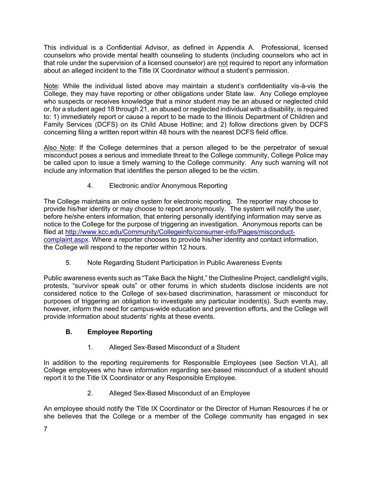This individual is a Confidential Advisor, as defined in Appendix A. Professional, licensed counselors who provide mental health counseling to students (including counselors who act in that role under the supervision of a licensed counselor) are not required to report any information about an alleged incident to the Title IX Coordinator without a student's permission.

Note: While the individual listed above may maintain a student's confidentiality vis-à-vis the College, they may have reporting or other obligations under State law. Any College employee who suspects or receives knowledge that a minor student may be an abused or neglected child or, for a student aged 18 through 21, an abused or neglected individual with a disability, is required to: 1) immediately report or cause a report to be made to the Illinois Department of Children and Family Services (DCFS) on its Child Abuse Hotline; and 2) follow directions given by DCFS concerning filing a written report within 48 hours with the nearest DCFS field office.

Also Note: If the College determines that a person alleged to be the perpetrator of sexual misconduct poses a serious and immediate threat to the College community, College Police may be called upon to issue a timely warning to the College community. Any such warning will not include any information that identifies the person alleged to be the victim.

4. Electronic and/or Anonymous Reporting

The College maintains an online system for electronic reporting. The reporter may choose to provide his/her identity or may choose to report anonymously. The system will notify the user, before he/she enters information, that entering personally identifying information may serve as notice to the College for the purpose of triggering an investigation. Anonymous reports can be filed at http://www.kcc.edu/Community/Collegeinfo/consumer-info/Pages/misconductcomplaint.aspx. Where a reporter chooses to provide his/her identity and contact information, the College will respond to the reporter within 12 hours.

5. Note Regarding Student Participation in Public Awareness Events

Public awareness events such as "Take Back the Night," the Clothesline Project, candlelight vigils, protests, "survivor speak outs" or other forums in which students disclose incidents are not considered notice to the College of sex-based discrimination, harassment or misconduct for purposes of triggering an obligation to investigate any particular incident(s). Such events may, however, inform the need for campus-wide education and prevention efforts, and the College will provide information about students' rights at these events.

# **B. Employee Reporting**

1. Alleged Sex-Based Misconduct of a Student

In addition to the reporting requirements for Responsible Employees (see Section VI.A), all College employees who have information regarding sex-based misconduct of a student should report it to the Title IX Coordinator or any Responsible Employee.

2. Alleged Sex-Based Misconduct of an Employee

An employee should notify the Title IX Coordinator or the Director of Human Resources if he or she believes that the College or a member of the College community has engaged in sex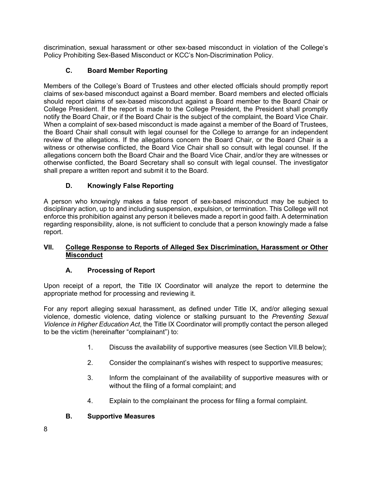discrimination, sexual harassment or other sex-based misconduct in violation of the College's Policy Prohibiting Sex-Based Misconduct or KCC's Non-Discrimination Policy.

## **C. Board Member Reporting**

Members of the College's Board of Trustees and other elected officials should promptly report claims of sex-based misconduct against a Board member. Board members and elected officials should report claims of sex-based misconduct against a Board member to the Board Chair or College President. If the report is made to the College President, the President shall promptly notify the Board Chair, or if the Board Chair is the subject of the complaint, the Board Vice Chair. When a complaint of sex-based misconduct is made against a member of the Board of Trustees, the Board Chair shall consult with legal counsel for the College to arrange for an independent review of the allegations. If the allegations concern the Board Chair, or the Board Chair is a witness or otherwise conflicted, the Board Vice Chair shall so consult with legal counsel. If the allegations concern both the Board Chair and the Board Vice Chair, and/or they are witnesses or otherwise conflicted, the Board Secretary shall so consult with legal counsel. The investigator shall prepare a written report and submit it to the Board.

## **D. Knowingly False Reporting**

A person who knowingly makes a false report of sex-based misconduct may be subject to disciplinary action, up to and including suspension, expulsion, or termination. This College will not enforce this prohibition against any person it believes made a report in good faith. A determination regarding responsibility, alone, is not sufficient to conclude that a person knowingly made a false report.

### **VII. College Response to Reports of Alleged Sex Discrimination, Harassment or Other Misconduct**

### **A. Processing of Report**

Upon receipt of a report, the Title IX Coordinator will analyze the report to determine the appropriate method for processing and reviewing it.

For any report alleging sexual harassment, as defined under Title IX, and/or alleging sexual violence, domestic violence, dating violence or stalking pursuant to the *Preventing Sexual Violence in Higher Education Act*, the Title IX Coordinator will promptly contact the person alleged to be the victim (hereinafter "complainant") to:

- 1. Discuss the availability of supportive measures (see Section VII.B below);
- 2. Consider the complainant's wishes with respect to supportive measures;
- 3. Inform the complainant of the availability of supportive measures with or without the filing of a formal complaint; and
- 4. Explain to the complainant the process for filing a formal complaint.

### **B. Supportive Measures**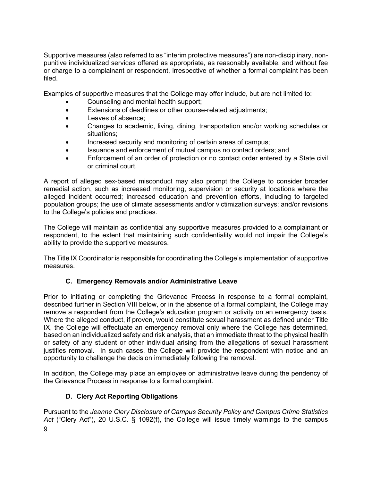Supportive measures (also referred to as "interim protective measures") are non-disciplinary, nonpunitive individualized services offered as appropriate, as reasonably available, and without fee or charge to a complainant or respondent, irrespective of whether a formal complaint has been filed.

Examples of supportive measures that the College may offer include, but are not limited to:

- Counseling and mental health support;
- Extensions of deadlines or other course-related adjustments;
- Leaves of absence;
- Changes to academic, living, dining, transportation and/or working schedules or situations;
- Increased security and monitoring of certain areas of campus;
- Issuance and enforcement of mutual campus no contact orders; and
- Enforcement of an order of protection or no contact order entered by a State civil or criminal court.

A report of alleged sex-based misconduct may also prompt the College to consider broader remedial action, such as increased monitoring, supervision or security at locations where the alleged incident occurred; increased education and prevention efforts, including to targeted population groups; the use of climate assessments and/or victimization surveys; and/or revisions to the College's policies and practices.

The College will maintain as confidential any supportive measures provided to a complainant or respondent, to the extent that maintaining such confidentiality would not impair the College's ability to provide the supportive measures.

The Title IX Coordinator is responsible for coordinating the College's implementation of supportive measures.

### **C. Emergency Removals and/or Administrative Leave**

Prior to initiating or completing the Grievance Process in response to a formal complaint, described further in Section VIII below, or in the absence of a formal complaint, the College may remove a respondent from the College's education program or activity on an emergency basis. Where the alleged conduct, if proven, would constitute sexual harassment as defined under Title IX, the College will effectuate an emergency removal only where the College has determined, based on an individualized safety and risk analysis, that an immediate threat to the physical health or safety of any student or other individual arising from the allegations of sexual harassment justifies removal. In such cases, the College will provide the respondent with notice and an opportunity to challenge the decision immediately following the removal.

In addition, the College may place an employee on administrative leave during the pendency of the Grievance Process in response to a formal complaint.

### **D. Clery Act Reporting Obligations**

9 Pursuant to the *Jeanne Clery Disclosure of Campus Security Policy and Campus Crime Statistics Act* ("Clery Act"), 20 U.S.C. § 1092(f), the College will issue timely warnings to the campus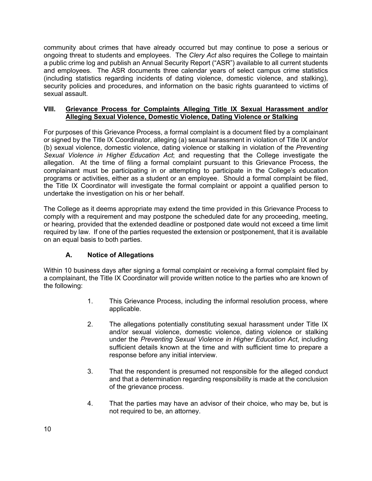community about crimes that have already occurred but may continue to pose a serious or ongoing threat to students and employees. The *Clery Act* also requires the College to maintain a public crime log and publish an Annual Security Report ("ASR") available to all current students and employees. The ASR documents three calendar years of select campus crime statistics (including statistics regarding incidents of dating violence, domestic violence, and stalking), security policies and procedures, and information on the basic rights guaranteed to victims of sexual assault.

#### **VIII. Grievance Process for Complaints Alleging Title IX Sexual Harassment and/or Alleging Sexual Violence, Domestic Violence, Dating Violence or Stalking**

For purposes of this Grievance Process, a formal complaint is a document filed by a complainant or signed by the Title IX Coordinator, alleging (a) sexual harassment in violation of Title IX and/or (b) sexual violence, domestic violence, dating violence or stalking in violation of the *Preventing Sexual Violence in Higher Education Act*; and requesting that the College investigate the allegation. At the time of filing a formal complaint pursuant to this Grievance Process, the complainant must be participating in or attempting to participate in the College's education programs or activities, either as a student or an employee. Should a formal complaint be filed, the Title IX Coordinator will investigate the formal complaint or appoint a qualified person to undertake the investigation on his or her behalf.

The College as it deems appropriate may extend the time provided in this Grievance Process to comply with a requirement and may postpone the scheduled date for any proceeding, meeting, or hearing, provided that the extended deadline or postponed date would not exceed a time limit required by law. If one of the parties requested the extension or postponement, that it is available on an equal basis to both parties.

## **A. Notice of Allegations**

Within 10 business days after signing a formal complaint or receiving a formal complaint filed by a complainant, the Title IX Coordinator will provide written notice to the parties who are known of the following:

- 1. This Grievance Process, including the informal resolution process, where applicable.
- 2. The allegations potentially constituting sexual harassment under Title IX and/or sexual violence, domestic violence, dating violence or stalking under the *Preventing Sexual Violence in Higher Education Act*, including sufficient details known at the time and with sufficient time to prepare a response before any initial interview.
- 3. That the respondent is presumed not responsible for the alleged conduct and that a determination regarding responsibility is made at the conclusion of the grievance process.
- 4. That the parties may have an advisor of their choice, who may be, but is not required to be, an attorney.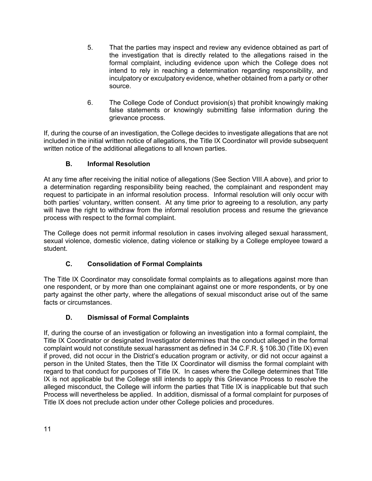- 5. That the parties may inspect and review any evidence obtained as part of the investigation that is directly related to the allegations raised in the formal complaint, including evidence upon which the College does not intend to rely in reaching a determination regarding responsibility, and inculpatory or exculpatory evidence, whether obtained from a party or other source.
- 6. The College Code of Conduct provision(s) that prohibit knowingly making false statements or knowingly submitting false information during the grievance process.

If, during the course of an investigation, the College decides to investigate allegations that are not included in the initial written notice of allegations, the Title IX Coordinator will provide subsequent written notice of the additional allegations to all known parties.

## **B. Informal Resolution**

At any time after receiving the initial notice of allegations (See Section VIII.A above), and prior to a determination regarding responsibility being reached, the complainant and respondent may request to participate in an informal resolution process. Informal resolution will only occur with both parties' voluntary, written consent. At any time prior to agreeing to a resolution, any party will have the right to withdraw from the informal resolution process and resume the grievance process with respect to the formal complaint.

The College does not permit informal resolution in cases involving alleged sexual harassment, sexual violence, domestic violence, dating violence or stalking by a College employee toward a student.

### **C. Consolidation of Formal Complaints**

The Title IX Coordinator may consolidate formal complaints as to allegations against more than one respondent, or by more than one complainant against one or more respondents, or by one party against the other party, where the allegations of sexual misconduct arise out of the same facts or circumstances.

## **D. Dismissal of Formal Complaints**

If, during the course of an investigation or following an investigation into a formal complaint, the Title IX Coordinator or designated Investigator determines that the conduct alleged in the formal complaint would not constitute sexual harassment as defined in 34 C.F.R. § 106.30 (Title IX) even if proved, did not occur in the District's education program or activity, or did not occur against a person in the United States, then the Title IX Coordinator will dismiss the formal complaint with regard to that conduct for purposes of Title IX. In cases where the College determines that Title IX is not applicable but the College still intends to apply this Grievance Process to resolve the alleged misconduct, the College will inform the parties that Title IX is inapplicable but that such Process will nevertheless be applied. In addition, dismissal of a formal complaint for purposes of Title IX does not preclude action under other College policies and procedures.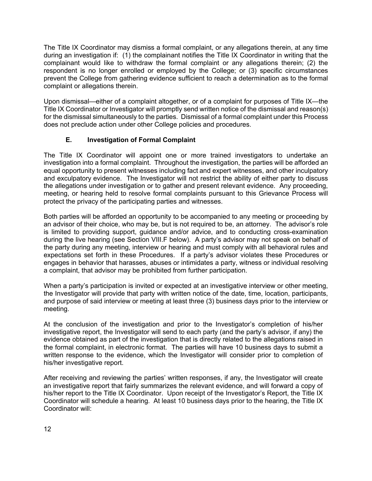The Title IX Coordinator may dismiss a formal complaint, or any allegations therein, at any time during an investigation if: (1) the complainant notifies the Title IX Coordinator in writing that the complainant would like to withdraw the formal complaint or any allegations therein; (2) the respondent is no longer enrolled or employed by the College; or (3) specific circumstances prevent the College from gathering evidence sufficient to reach a determination as to the formal complaint or allegations therein.

Upon dismissal—either of a complaint altogether, or of a complaint for purposes of Title IX—the Title IX Coordinator or Investigator will promptly send written notice of the dismissal and reason(s) for the dismissal simultaneously to the parties. Dismissal of a formal complaint under this Process does not preclude action under other College policies and procedures.

## **E. Investigation of Formal Complaint**

The Title IX Coordinator will appoint one or more trained investigators to undertake an investigation into a formal complaint. Throughout the investigation, the parties will be afforded an equal opportunity to present witnesses including fact and expert witnesses, and other inculpatory and exculpatory evidence. The Investigator will not restrict the ability of either party to discuss the allegations under investigation or to gather and present relevant evidence. Any proceeding, meeting, or hearing held to resolve formal complaints pursuant to this Grievance Process will protect the privacy of the participating parties and witnesses.

Both parties will be afforded an opportunity to be accompanied to any meeting or proceeding by an advisor of their choice, who may be, but is not required to be, an attorney. The advisor's role is limited to providing support, guidance and/or advice, and to conducting cross-examination during the live hearing (see Section VIII.F below). A party's advisor may not speak on behalf of the party during any meeting, interview or hearing and must comply with all behavioral rules and expectations set forth in these Procedures. If a party's advisor violates these Procedures or engages in behavior that harasses, abuses or intimidates a party, witness or individual resolving a complaint, that advisor may be prohibited from further participation.

When a party's participation is invited or expected at an investigative interview or other meeting, the Investigator will provide that party with written notice of the date, time, location, participants, and purpose of said interview or meeting at least three (3) business days prior to the interview or meeting.

At the conclusion of the investigation and prior to the Investigator's completion of his/her investigative report, the Investigator will send to each party (and the party's advisor, if any) the evidence obtained as part of the investigation that is directly related to the allegations raised in the formal complaint, in electronic format. The parties will have 10 business days to submit a written response to the evidence, which the Investigator will consider prior to completion of his/her investigative report.

After receiving and reviewing the parties' written responses, if any, the Investigator will create an investigative report that fairly summarizes the relevant evidence, and will forward a copy of his/her report to the Title IX Coordinator. Upon receipt of the Investigator's Report, the Title IX Coordinator will schedule a hearing. At least 10 business days prior to the hearing, the Title IX Coordinator will: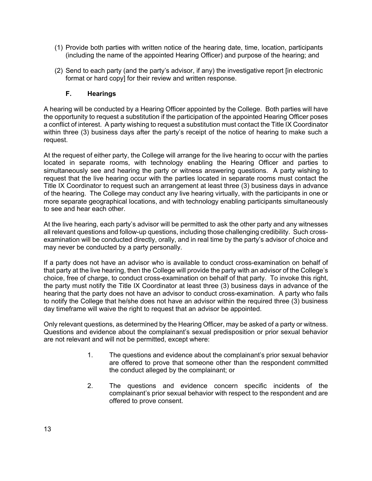- (1) Provide both parties with written notice of the hearing date, time, location, participants (including the name of the appointed Hearing Officer) and purpose of the hearing; and
- (2) Send to each party (and the party's advisor, if any) the investigative report [in electronic format or hard copyl for their review and written response.

#### **F. Hearings**

A hearing will be conducted by a Hearing Officer appointed by the College. Both parties will have the opportunity to request a substitution if the participation of the appointed Hearing Officer poses a conflict of interest. A party wishing to request a substitution must contact the Title IX Coordinator within three (3) business days after the party's receipt of the notice of hearing to make such a request.

At the request of either party, the College will arrange for the live hearing to occur with the parties located in separate rooms, with technology enabling the Hearing Officer and parties to simultaneously see and hearing the party or witness answering questions. A party wishing to request that the live hearing occur with the parties located in separate rooms must contact the Title IX Coordinator to request such an arrangement at least three (3) business days in advance of the hearing. The College may conduct any live hearing virtually, with the participants in one or more separate geographical locations, and with technology enabling participants simultaneously to see and hear each other.

At the live hearing, each party's advisor will be permitted to ask the other party and any witnesses all relevant questions and follow-up questions, including those challenging credibility. Such crossexamination will be conducted directly, orally, and in real time by the party's advisor of choice and may never be conducted by a party personally.

If a party does not have an advisor who is available to conduct cross-examination on behalf of that party at the live hearing, then the College will provide the party with an advisor of the College's choice, free of charge, to conduct cross-examination on behalf of that party. To invoke this right, the party must notify the Title IX Coordinator at least three (3) business days in advance of the hearing that the party does not have an advisor to conduct cross-examination. A party who fails to notify the College that he/she does not have an advisor within the required three (3) business day timeframe will waive the right to request that an advisor be appointed.

Only relevant questions, as determined by the Hearing Officer, may be asked of a party or witness. Questions and evidence about the complainant's sexual predisposition or prior sexual behavior are not relevant and will not be permitted, except where:

- 1. The questions and evidence about the complainant's prior sexual behavior are offered to prove that someone other than the respondent committed the conduct alleged by the complainant; or
- 2. The questions and evidence concern specific incidents of the complainant's prior sexual behavior with respect to the respondent and are offered to prove consent.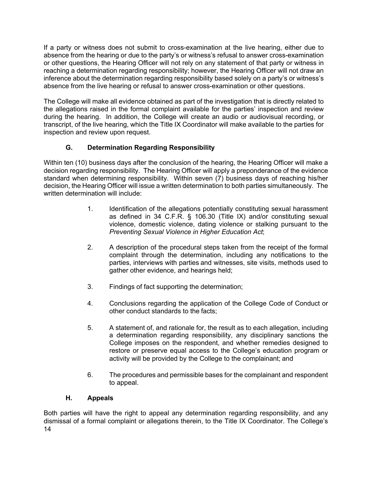If a party or witness does not submit to cross-examination at the live hearing, either due to absence from the hearing or due to the party's or witness's refusal to answer cross-examination or other questions, the Hearing Officer will not rely on any statement of that party or witness in reaching a determination regarding responsibility; however, the Hearing Officer will not draw an inference about the determination regarding responsibility based solely on a party's or witness's absence from the live hearing or refusal to answer cross-examination or other questions.

The College will make all evidence obtained as part of the investigation that is directly related to the allegations raised in the formal complaint available for the parties' inspection and review during the hearing. In addition, the College will create an audio or audiovisual recording, or transcript, of the live hearing, which the Title IX Coordinator will make available to the parties for inspection and review upon request.

## **G. Determination Regarding Responsibility**

Within ten (10) business days after the conclusion of the hearing, the Hearing Officer will make a decision regarding responsibility. The Hearing Officer will apply a preponderance of the evidence standard when determining responsibility. Within seven (7) business days of reaching his/her decision, the Hearing Officer will issue a written determination to both parties simultaneously. The written determination will include:

- 1. Identification of the allegations potentially constituting sexual harassment as defined in 34 C.F.R. § 106.30 (Title IX) and/or constituting sexual violence, domestic violence, dating violence or stalking pursuant to the *Preventing Sexual Violence in Higher Education Act*;
- 2. A description of the procedural steps taken from the receipt of the formal complaint through the determination, including any notifications to the parties, interviews with parties and witnesses, site visits, methods used to gather other evidence, and hearings held;
- 3. Findings of fact supporting the determination;
- 4. Conclusions regarding the application of the College Code of Conduct or other conduct standards to the facts;
- 5. A statement of, and rationale for, the result as to each allegation, including a determination regarding responsibility, any disciplinary sanctions the College imposes on the respondent, and whether remedies designed to restore or preserve equal access to the College's education program or activity will be provided by the College to the complainant; and
- 6. The procedures and permissible bases for the complainant and respondent to appeal.

### **H. Appeals**

14 Both parties will have the right to appeal any determination regarding responsibility, and any dismissal of a formal complaint or allegations therein, to the Title IX Coordinator. The College's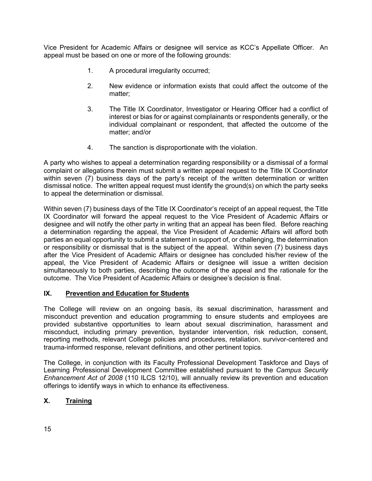Vice President for Academic Affairs or designee will service as KCC's Appellate Officer. An appeal must be based on one or more of the following grounds:

- 1. A procedural irregularity occurred;
- 2. New evidence or information exists that could affect the outcome of the matter;
- 3. The Title IX Coordinator, Investigator or Hearing Officer had a conflict of interest or bias for or against complainants or respondents generally, or the individual complainant or respondent, that affected the outcome of the matter; and/or
- 4. The sanction is disproportionate with the violation.

A party who wishes to appeal a determination regarding responsibility or a dismissal of a formal complaint or allegations therein must submit a written appeal request to the Title IX Coordinator within seven (7) business days of the party's receipt of the written determination or written dismissal notice. The written appeal request must identify the ground(s) on which the party seeks to appeal the determination or dismissal.

Within seven (7) business days of the Title IX Coordinator's receipt of an appeal request, the Title IX Coordinator will forward the appeal request to the Vice President of Academic Affairs or designee and will notify the other party in writing that an appeal has been filed. Before reaching a determination regarding the appeal, the Vice President of Academic Affairs will afford both parties an equal opportunity to submit a statement in support of, or challenging, the determination or responsibility or dismissal that is the subject of the appeal. Within seven (7) business days after the Vice President of Academic Affairs or designee has concluded his/her review of the appeal, the Vice President of Academic Affairs or designee will issue a written decision simultaneously to both parties, describing the outcome of the appeal and the rationale for the outcome. The Vice President of Academic Affairs or designee's decision is final.

### **IX. Prevention and Education for Students**

The College will review on an ongoing basis, its sexual discrimination, harassment and misconduct prevention and education programming to ensure students and employees are provided substantive opportunities to learn about sexual discrimination, harassment and misconduct, including primary prevention, bystander intervention, risk reduction, consent, reporting methods, relevant College policies and procedures, retaliation, survivor-centered and trauma-informed response, relevant definitions, and other pertinent topics.

The College, in conjunction with its Faculty Professional Development Taskforce and Days of Learning Professional Development Committee established pursuant to the *Campus Security Enhancement Act of 2008* (110 ILCS 12/10), will annually review its prevention and education offerings to identify ways in which to enhance its effectiveness.

## **X. Training**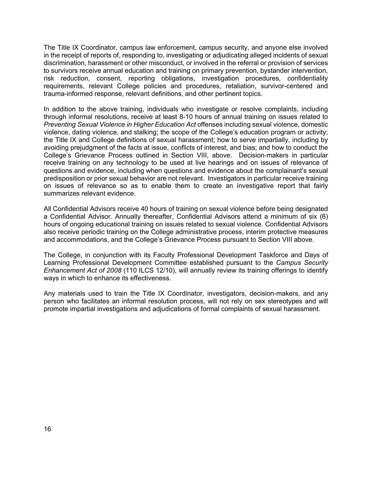The Title IX Coordinator, campus law enforcement, campus security, and anyone else involved in the receipt of reports of, responding to, investigating or adjudicating alleged incidents of sexual discrimination, harassment or other misconduct, or involved in the referral or provision of services to survivors receive annual education and training on primary prevention, bystander intervention, risk reduction, consent, reporting obligations, investigation procedures, confidentiality requirements, relevant College policies and procedures, retaliation, survivor-centered and trauma-informed response, relevant definitions, and other pertinent topics.

In addition to the above training, individuals who investigate or resolve complaints, including through informal resolutions, receive at least 8-10 hours of annual training on issues related to *Preventing Sexual Violence in Higher Education Act* offenses including sexual violence, domestic violence, dating violence, and stalking; the scope of the College's education program or activity; the Title IX and College definitions of sexual harassment; how to serve impartially, including by avoiding prejudgment of the facts at issue, conflicts of interest, and bias; and how to conduct the College's Grievance Process outlined in Section VIII, above. Decision-makers in particular receive training on any technology to be used at live hearings and on issues of relevance of questions and evidence, including when questions and evidence about the complainant's sexual predisposition or prior sexual behavior are not relevant. Investigators in particular receive training on issues of relevance so as to enable them to create an investigative report that fairly summarizes relevant evidence.

All Confidential Advisors receive 40 hours of training on sexual violence before being designated a Confidential Advisor. Annually thereafter, Confidential Advisors attend a minimum of six (6) hours of ongoing educational training on issues related to sexual violence. Confidential Advisors also receive periodic training on the College administrative process, interim protective measures and accommodations, and the College's Grievance Process pursuant to Section VIII above.

The College, in conjunction with its Faculty Professional Development Taskforce and Days of Learning Professional Development Committee established pursuant to the *Campus Security Enhancement Act of 2008* (110 ILCS 12/10), will annually review its training offerings to identify ways in which to enhance its effectiveness.

Any materials used to train the Title IX Coordinator, investigators, decision-makers, and any person who facilitates an informal resolution process, will not rely on sex stereotypes and will promote impartial investigations and adjudications of formal complaints of sexual harassment.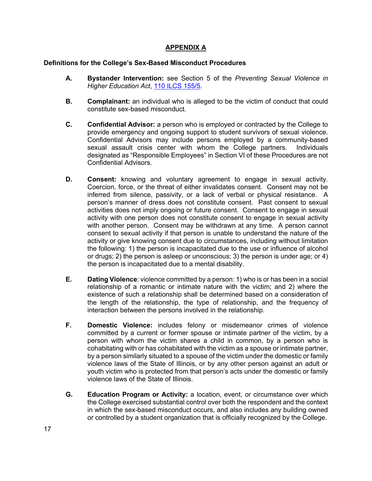## **APPENDIX A**

#### **Definitions for the College's Sex-Based Misconduct Procedures**

- **A. Bystander Intervention:** see Section 5 of the *Preventing Sexual Violence in Higher Education Act*, 110 ILCS 155/5.
- **B. Complainant:** an individual who is alleged to be the victim of conduct that could constitute sex-based misconduct.
- **C. Confidential Advisor:** a person who is employed or contracted by the College to provide emergency and ongoing support to student survivors of sexual violence. Confidential Advisors may include persons employed by a community-based sexual assault crisis center with whom the College partners. Individuals designated as "Responsible Employees" in Section VI of these Procedures are not Confidential Advisors.
- **D. Consent:** knowing and voluntary agreement to engage in sexual activity. Coercion, force, or the threat of either invalidates consent. Consent may not be inferred from silence, passivity, or a lack of verbal or physical resistance. A person's manner of dress does not constitute consent. Past consent to sexual activities does not imply ongoing or future consent. Consent to engage in sexual activity with one person does not constitute consent to engage in sexual activity with another person. Consent may be withdrawn at any time. A person cannot consent to sexual activity if that person is unable to understand the nature of the activity or give knowing consent due to circumstances, including without limitation the following: 1) the person is incapacitated due to the use or influence of alcohol or drugs; 2) the person is asleep or unconscious; 3) the person is under age; or 4) the person is incapacitated due to a mental disability.
- **E. Dating Violence**: violence committed by a person: 1) who is or has been in a social relationship of a romantic or intimate nature with the victim; and 2) where the existence of such a relationship shall be determined based on a consideration of the length of the relationship, the type of relationship, and the frequency of interaction between the persons involved in the relationship.
- **F. Domestic Violence:** includes felony or misdemeanor crimes of violence committed by a current or former spouse or intimate partner of the victim, by a person with whom the victim shares a child in common, by a person who is cohabitating with or has cohabitated with the victim as a spouse or intimate partner, by a person similarly situated to a spouse of the victim under the domestic or family violence laws of the State of Illinois, or by any other person against an adult or youth victim who is protected from that person's acts under the domestic or family violence laws of the State of Illinois.
- **G. Education Program or Activity:** a location, event, or circumstance over which the College exercised substantial control over both the respondent and the context in which the sex-based misconduct occurs, and also includes any building owned or controlled by a student organization that is officially recognized by the College.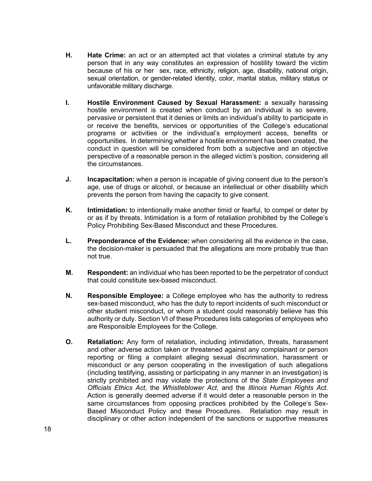- **H. Hate Crime:** an act or an attempted act that violates a criminal statute by any person that in any way constitutes an expression of hostility toward the victim because of his or her sex, race, ethnicity, religion, age, disability, national origin, sexual orientation, or gender-related identity, color, marital status, military status or unfavorable military discharge.
- **I. Hostile Environment Caused by Sexual Harassment:** a sexually harassing hostile environment is created when conduct by an individual is so severe, pervasive or persistent that it denies or limits an individual's ability to participate in or receive the benefits, services or opportunities of the College's educational programs or activities or the individual's employment access, benefits or opportunities. In determining whether a hostile environment has been created, the conduct in question will be considered from both a subjective and an objective perspective of a reasonable person in the alleged victim's position, considering all the circumstances.
- **J. Incapacitation:** when a person is incapable of giving consent due to the person's age, use of drugs or alcohol, or because an intellectual or other disability which prevents the person from having the capacity to give consent.
- **K. Intimidation:** to intentionally make another timid or fearful, to compel or deter by or as if by threats. Intimidation is a form of retaliation prohibited by the College's Policy Prohibiting Sex-Based Misconduct and these Procedures.
- **L. Preponderance of the Evidence:** when considering all the evidence in the case, the decision-maker is persuaded that the allegations are more probably true than not true.
- **M. Respondent:** an individual who has been reported to be the perpetrator of conduct that could constitute sex-based misconduct.
- **N. Responsible Employee:** a College employee who has the authority to redress sex-based misconduct, who has the duty to report incidents of such misconduct or other student misconduct, or whom a student could reasonably believe has this authority or duty. Section VI of these Procedures lists categories of employees who are Responsible Employees for the College.
- **O. Retaliation:** Any form of retaliation, including intimidation, threats, harassment and other adverse action taken or threatened against any complainant or person reporting or filing a complaint alleging sexual discrimination, harassment or misconduct or any person cooperating in the investigation of such allegations (including testifying, assisting or participating in any manner in an investigation) is strictly prohibited and may violate the protections of the *State Employees and Officials Ethics Act*, the *Whistleblower Act*, and the *Illinois Human Rights Act*. Action is generally deemed adverse if it would deter a reasonable person in the same circumstances from opposing practices prohibited by the College's Sex-Based Misconduct Policy and these Procedures. Retaliation may result in disciplinary or other action independent of the sanctions or supportive measures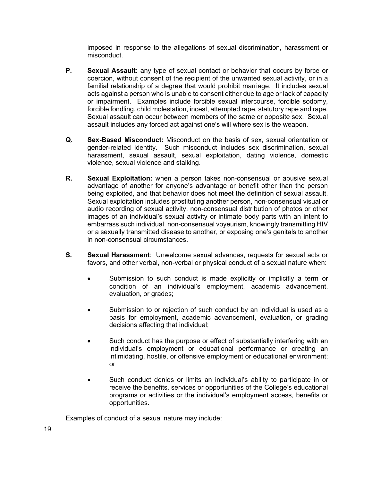imposed in response to the allegations of sexual discrimination, harassment or misconduct.

- **P. Sexual Assault:** any type of sexual contact or behavior that occurs by force or coercion, without consent of the recipient of the unwanted sexual activity, or in a familial relationship of a degree that would prohibit marriage. It includes sexual acts against a person who is unable to consent either due to age or lack of capacity or impairment. Examples include forcible sexual intercourse, forcible sodomy, forcible fondling, child molestation, incest, attempted rape, statutory rape and rape. Sexual assault can occur between members of the same or opposite sex. Sexual assault includes any forced act against one's will where sex is the weapon.
- **Q. Sex-Based Misconduct:** Misconduct on the basis of sex, sexual orientation or gender-related identity. Such misconduct includes sex discrimination, sexual harassment, sexual assault, sexual exploitation, dating violence, domestic violence, sexual violence and stalking.
- **R. Sexual Exploitation:** when a person takes non-consensual or abusive sexual advantage of another for anyone's advantage or benefit other than the person being exploited, and that behavior does not meet the definition of sexual assault. Sexual exploitation includes prostituting another person, non-consensual visual or audio recording of sexual activity, non-consensual distribution of photos or other images of an individual's sexual activity or intimate body parts with an intent to embarrass such individual, non-consensual voyeurism, knowingly transmitting HIV or a sexually transmitted disease to another, or exposing one's genitals to another in non-consensual circumstances.
- **S. Sexual Harassment**: Unwelcome sexual advances, requests for sexual acts or favors, and other verbal, non-verbal or physical conduct of a sexual nature when:
	- Submission to such conduct is made explicitly or implicitly a term or condition of an individual's employment, academic advancement, evaluation, or grades;
	- Submission to or rejection of such conduct by an individual is used as a basis for employment, academic advancement, evaluation, or grading decisions affecting that individual;
	- Such conduct has the purpose or effect of substantially interfering with an individual's employment or educational performance or creating an intimidating, hostile, or offensive employment or educational environment; or
	- Such conduct denies or limits an individual's ability to participate in or receive the benefits, services or opportunities of the College's educational programs or activities or the individual's employment access, benefits or opportunities.

Examples of conduct of a sexual nature may include: